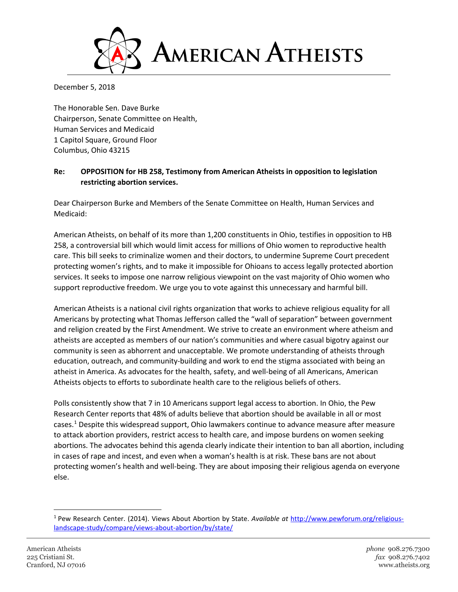

December 5, 2018

The Honorable Sen. Dave Burke Chairperson, Senate Committee on Health, Human Services and Medicaid 1 Capitol Square, Ground Floor Columbus, Ohio 43215

## **Re: OPPOSITION for HB 258, Testimony from American Atheists in opposition to legislation restricting abortion services.**

Dear Chairperson Burke and Members of the Senate Committee on Health, Human Services and Medicaid:

American Atheists, on behalf of its more than 1,200 constituents in Ohio, testifies in opposition to HB 258, a controversial bill which would limit access for millions of Ohio women to reproductive health care. This bill seeks to criminalize women and their doctors, to undermine Supreme Court precedent protecting women's rights, and to make it impossible for Ohioans to access legally protected abortion services. It seeks to impose one narrow religious viewpoint on the vast majority of Ohio women who support reproductive freedom. We urge you to vote against this unnecessary and harmful bill.

American Atheists is a national civil rights organization that works to achieve religious equality for all Americans by protecting what Thomas Jefferson called the "wall of separation" between government and religion created by the First Amendment. We strive to create an environment where atheism and atheists are accepted as members of our nation's communities and where casual bigotry against our community is seen as abhorrent and unacceptable. We promote understanding of atheists through education, outreach, and community-building and work to end the stigma associated with being an atheist in America. As advocates for the health, safety, and well-being of all Americans, American Atheists objects to efforts to subordinate health care to the religious beliefs of others.

Polls consistently show that 7 in 10 Americans support legal access to abortion. In Ohio, the Pew Research Center reports that 48% of adults believe that abortion should be available in all or most cases.[1](#page-0-0) Despite this widespread support, Ohio lawmakers continue to advance measure after measure to attack abortion providers, restrict access to health care, and impose burdens on women seeking abortions. The advocates behind this agenda clearly indicate their intention to ban all abortion, including in cases of rape and incest, and even when a woman's health is at risk. These bans are not about protecting women's health and well-being. They are about imposing their religious agenda on everyone else.

<span id="page-0-0"></span> <sup>1</sup> Pew Research Center. (2014). Views About Abortion by State. *Available at* [http://www.pewforum.org/religious](http://www.pewforum.org/religious-landscape-study/compare/views-about-abortion/by/state/)[landscape-study/compare/views-about-abortion/by/state/](http://www.pewforum.org/religious-landscape-study/compare/views-about-abortion/by/state/)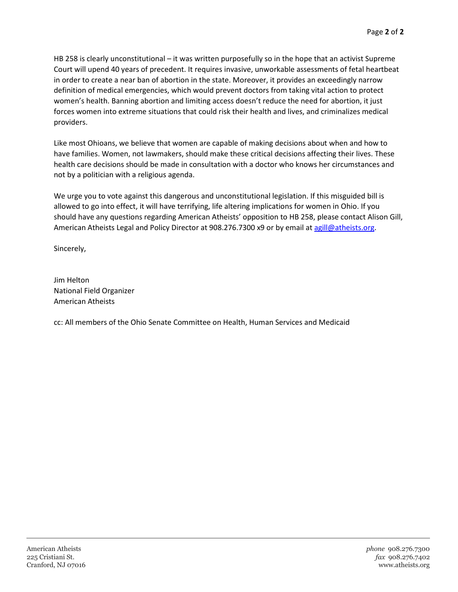HB 258 is clearly unconstitutional – it was written purposefully so in the hope that an activist Supreme Court will upend 40 years of precedent. It requires invasive, unworkable assessments of fetal heartbeat in order to create a near ban of abortion in the state. Moreover, it provides an exceedingly narrow definition of medical emergencies, which would prevent doctors from taking vital action to protect women's health. Banning abortion and limiting access doesn't reduce the need for abortion, it just forces women into extreme situations that could risk their health and lives, and criminalizes medical providers.

Like most Ohioans, we believe that women are capable of making decisions about when and how to have families. Women, not lawmakers, should make these critical decisions affecting their lives. These health care decisions should be made in consultation with a doctor who knows her circumstances and not by a politician with a religious agenda.

We urge you to vote against this dangerous and unconstitutional legislation. If this misguided bill is allowed to go into effect, it will have terrifying, life altering implications for women in Ohio. If you should have any questions regarding American Atheists' opposition to HB 258, please contact Alison Gill, American Atheists Legal and Policy Director at 908.276.7300 x9 or by email at [agill@atheists.org.](mailto:agill@atheists.org)

Sincerely,

Jim Helton National Field Organizer American Atheists

cc: All members of the Ohio Senate Committee on Health, Human Services and Medicaid